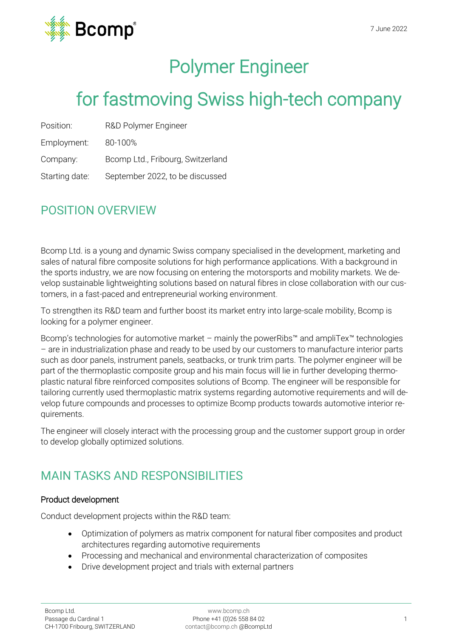

# Polymer Engineer

## for fastmoving Swiss high-tech company

| Position: | R&D Polymer Engineer |
|-----------|----------------------|
|           |                      |

Employment: 80-100%

Company: Bcomp Ltd., Fribourg, Switzerland

Starting date: September 2022, to be discussed

## POSITION OVERVIEW

Bcomp Ltd. is a young and dynamic Swiss company specialised in the development, marketing and sales of natural fibre composite solutions for high performance applications. With a background in the sports industry, we are now focusing on entering the motorsports and mobility markets. We develop sustainable lightweighting solutions based on natural fibres in close collaboration with our customers, in a fast-paced and entrepreneurial working environment.

To strengthen its R&D team and further boost its market entry into large-scale mobility, Bcomp is looking for a polymer engineer.

Bcomp's technologies for automotive market – mainly the powerRibs™ and ampliTex™ technologies – are in industrialization phase and ready to be used by our customers to manufacture interior parts such as door panels, instrument panels, seatbacks, or trunk trim parts. The polymer engineer will be part of the thermoplastic composite group and his main focus will lie in further developing thermoplastic natural fibre reinforced composites solutions of Bcomp. The engineer will be responsible for tailoring currently used thermoplastic matrix systems regarding automotive requirements and will develop future compounds and processes to optimize Bcomp products towards automotive interior requirements.

The engineer will closely interact with the processing group and the customer support group in order to develop globally optimized solutions.

## MAIN TASKS AND RESPONSIBILITIES

#### Product development

Conduct development projects within the R&D team:

- Optimization of polymers as matrix component for natural fiber composites and product architectures regarding automotive requirements
- Processing and mechanical and environmental characterization of composites
- Drive development project and trials with external partners